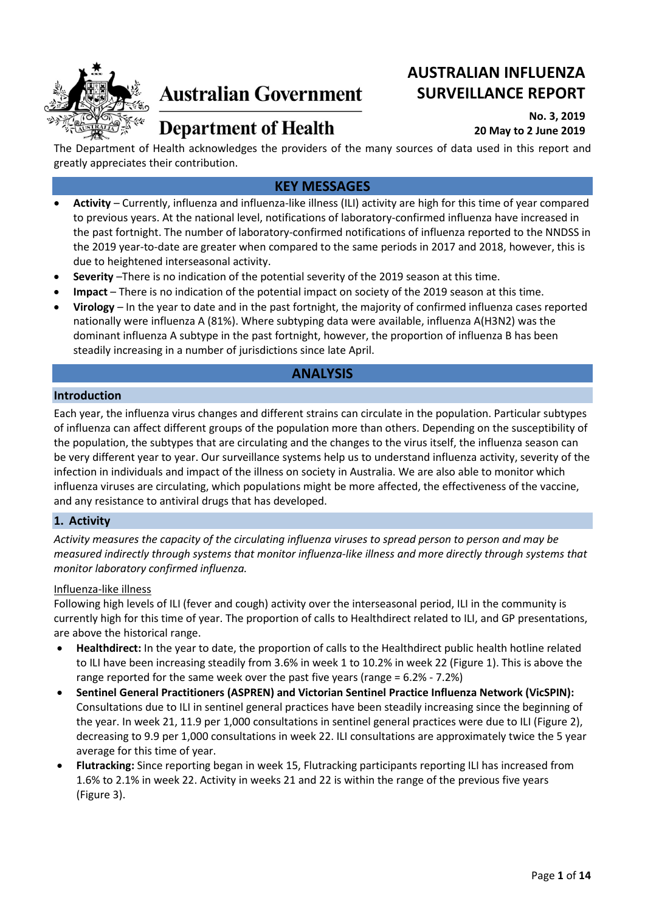

# **Australian Government**

## **AUSTRALIAN INFLUENZA SURVEILLANCE REPORT**

## **Department of Health**

## **No. 3, 2019 20 May to 2 June 2019**

The Department of Health acknowledges the providers of the many sources of data used in this report and greatly appreciates their contribution.

## **KEY MESSAGES**

- **Activity** Currently, influenza and influenza-like illness (ILI) activity are high for this time of year compared to previous years. At the national level, notifications of laboratory-confirmed influenza have increased in the past fortnight. The number of laboratory-confirmed notifications of influenza reported to the NNDSS in the 2019 year-to-date are greater when compared to the same periods in 2017 and 2018, however, this is due to heightened interseasonal activity.
- **Severity** –There is no indication of the potential severity of the 2019 season at this time.
- **Impact** There is no indication of the potential impact on society of the 2019 season at this time.
- **Virology** In the year to date and in the past fortnight, the majority of confirmed influenza cases reported nationally were influenza A (81%). Where subtyping data were available, influenza A(H3N2) was the dominant influenza A subtype in the past fortnight, however, the proportion of influenza B has been steadily increasing in a number of jurisdictions since late April.

## **ANALYSIS**

#### **Introduction**

Each year, the influenza virus changes and different strains can circulate in the population. Particular subtypes of influenza can affect different groups of the population more than others. Depending on the susceptibility of the population, the subtypes that are circulating and the changes to the virus itself, the influenza season can be very different year to year. Our surveillance systems help us to understand influenza activity, severity of the infection in individuals and impact of the illness on society in Australia. We are also able to monitor which influenza viruses are circulating, which populations might be more affected, the effectiveness of the vaccine, and any resistance to antiviral drugs that has developed.

## **1. Activity**

*Activity measures the capacity of the circulating influenza viruses to spread person to person and may be measured indirectly through systems that monitor influenza-like illness and more directly through systems that monitor laboratory confirmed influenza.*

## Influenza-like illness

Following high levels of ILI (fever and cough) activity over the interseasonal period, ILI in the community is currently high for this time of year. The proportion of calls to Healthdirect related to ILI, and GP presentations, are above the historical range.

- **Healthdirect:** In the year to date, the proportion of calls to the Healthdirect public health hotline related to ILI have been increasing steadily from 3.6% in week 1 to 10.2% in week 22 (Figure 1). This is above the range reported for the same week over the past five years (range = 6.2% - 7.2%)
- **Sentinel General Practitioners (ASPREN) and Victorian Sentinel Practice Influenza Network (VicSPIN):** Consultations due to ILI in sentinel general practices have been steadily increasing since the beginning of the year. In week 21, 11.9 per 1,000 consultations in sentinel general practices were due to ILI (Figure 2), decreasing to 9.9 per 1,000 consultations in week 22. ILI consultations are approximately twice the 5 year average for this time of year.
- **Flutracking:** Since reporting began in week 15, Flutracking participants reporting ILI has increased from 1.6% to 2.1% in week 22. Activity in weeks 21 and 22 is within the range of the previous five years (Figure 3).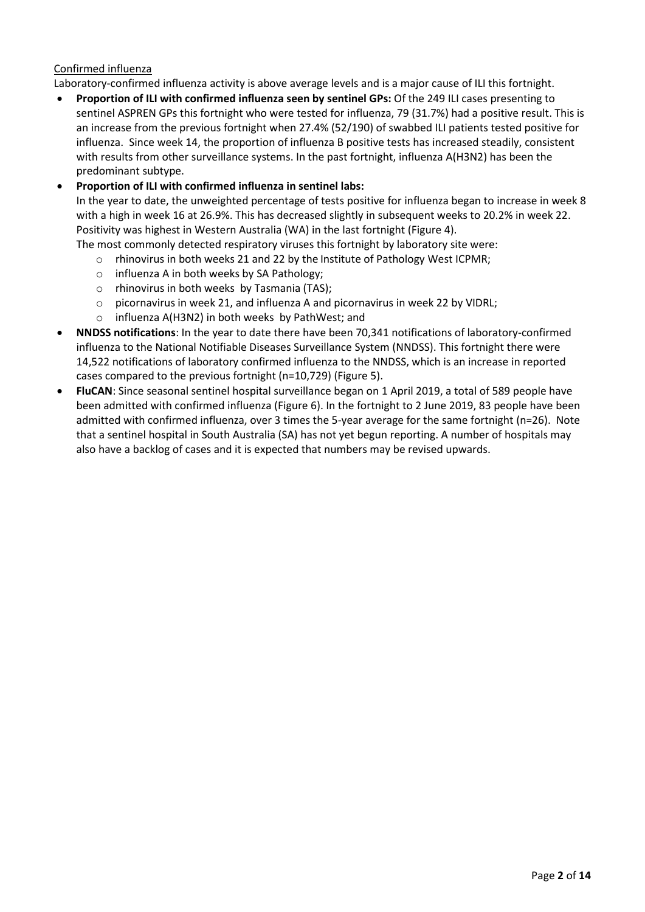## Confirmed influenza

Laboratory-confirmed influenza activity is above average levels and is a major cause of ILI this fortnight.

• **Proportion of ILI with confirmed influenza seen by sentinel GPs:** Of the 249 ILI cases presenting to sentinel ASPREN GPs this fortnight who were tested for influenza, 79 (31.7%) had a positive result. This is an increase from the previous fortnight when 27.4% (52/190) of swabbed ILI patients tested positive for influenza. Since week 14, the proportion of influenza B positive tests has increased steadily, consistent with results from other surveillance systems. In the past fortnight, influenza A(H3N2) has been the predominant subtype.

## • **Proportion of ILI with confirmed influenza in sentinel labs:**

In the year to date, the unweighted percentage of tests positive for influenza began to increase in week 8 with a high in week 16 at 26.9%. This has decreased slightly in subsequent weeks to 20.2% in week 22. Positivity was highest in Western Australia (WA) in the last fortnight (Figure 4).

- The most commonly detected respiratory viruses this fortnight by laboratory site were: o rhinovirus in both weeks 21 and 22 by the Institute of Pathology West ICPMR;
	- o influenza A in both weeks by SA Pathology;
	- o rhinovirus in both weeks by Tasmania (TAS);
	- $\circ$  picornavirus in week 21, and influenza A and picornavirus in week 22 by VIDRL;
	- o influenza A(H3N2) in both weeks by PathWest; and
- **NNDSS notifications**: In the year to date there have been 70,341 notifications of laboratory-confirmed influenza to the National Notifiable Diseases Surveillance System (NNDSS). This fortnight there were 14,522 notifications of laboratory confirmed influenza to the NNDSS, which is an increase in reported cases compared to the previous fortnight (n=10,729) (Figure 5).
- **FluCAN**: Since seasonal sentinel hospital surveillance began on 1 April 2019, a total of 589 people have been admitted with confirmed influenza [\(Figure 6\)](#page-4-0). In the fortnight to 2 June 2019, 83 people have been admitted with confirmed influenza, over 3 times the 5-year average for the same fortnight (n=26). Note that a sentinel hospital in South Australia (SA) has not yet begun reporting. A number of hospitals may also have a backlog of cases and it is expected that numbers may be revised upwards.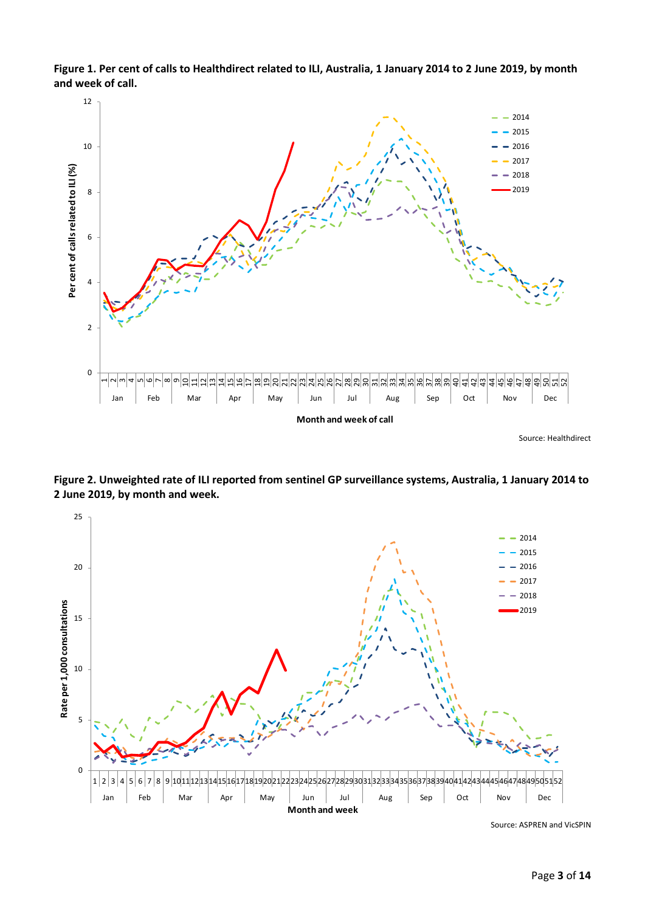

**Figure 1. Per cent of calls to Healthdirect related to ILI, Australia, 1 January 2014 to 2 June 2019, by month and week of call.**

Source: Healthdirect



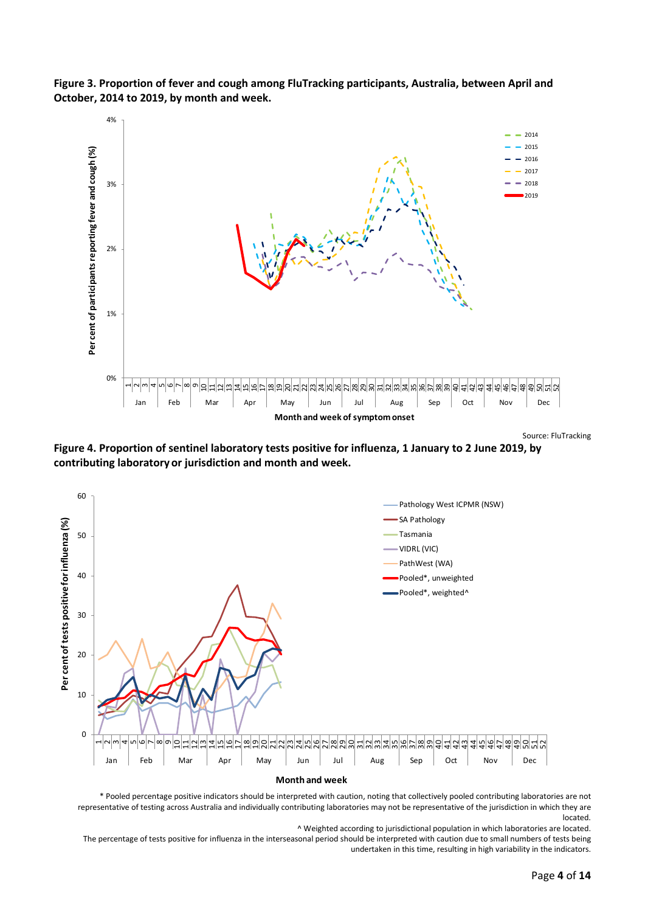



Source: FluTracking

**Figure 4. Proportion of sentinel laboratory tests positive for influenza, 1 January to 2 June 2019, by contributing laboratory or jurisdiction and month and week.**



\* Pooled percentage positive indicators should be interpreted with caution, noting that collectively pooled contributing laboratories are not representative of testing across Australia and individually contributing laboratories may not be representative of the jurisdiction in which they are located.

^ Weighted according to jurisdictional population in which laboratories are located.

The percentage of tests positive for influenza in the interseasonal period should be interpreted with caution due to small numbers of tests being undertaken in this time, resulting in high variability in the indicators.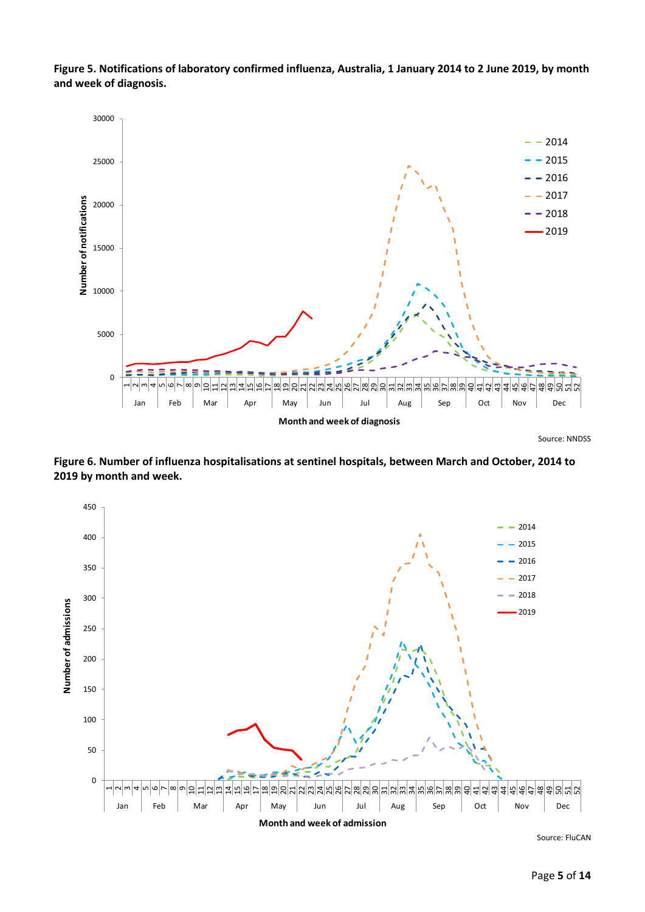**Figure 5. Notifications of laboratory confirmed influenza, Australia, 1 January 2014 to 2 June 2019, by month and week of diagnosis.**



Source: NNDSS

<span id="page-4-0"></span>**Figure 6. Number of influenza hospitalisations at sentinel hospitals, between March and October, 2014 to by month and week.**



Source: FluCAN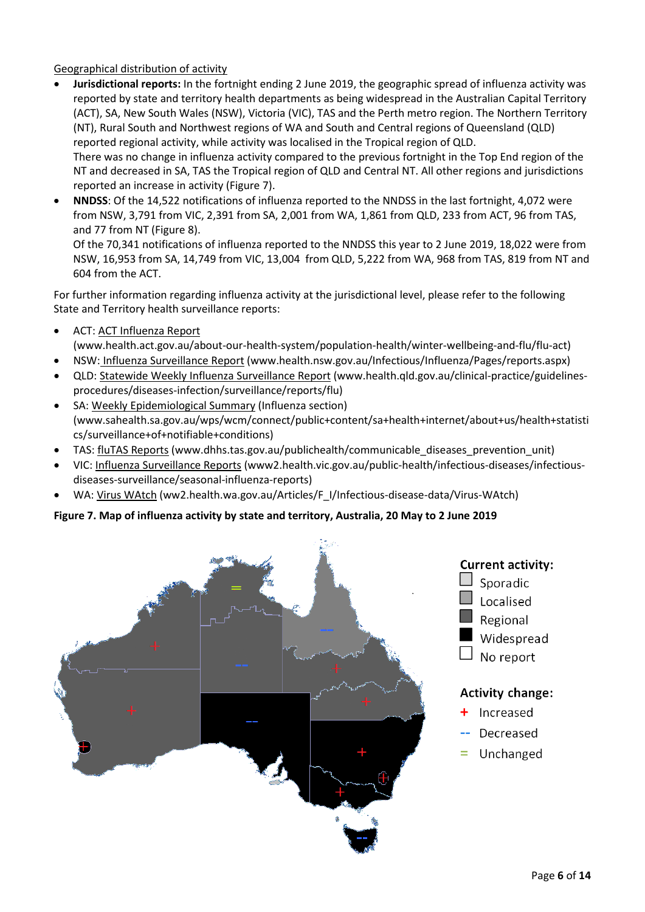## Geographical distribution of activity

- **Jurisdictional reports:** In the fortnight ending 2 June 2019, the geographic spread of influenza activity was reported by state and territory health departments as being widespread in the Australian Capital Territory (ACT), SA, New South Wales (NSW), Victoria (VIC), TAS and the Perth metro region. The Northern Territory (NT), Rural South and Northwest regions of WA and South and Central regions of Queensland (QLD) reported regional activity, while activity was localised in the Tropical region of QLD. There was no change in influenza activity compared to the previous fortnight in the Top End region of the NT and decreased in SA, TAS the Tropical region of QLD and Central NT. All other regions and jurisdictions reported an increase in activity [\(Figure 7\)](#page-5-0).
- **NNDSS**: Of the 14,522 notifications of influenza reported to the NNDSS in the last fortnight, 4,072 were from NSW, 3,791 from VIC, 2,391 from SA, 2,001 from WA, 1,861 from QLD, 233 from ACT, 96 from TAS, and 77 from NT (Figure 8).

Of the 70,341 notifications of influenza reported to the NNDSS this year to 2 June 2019, 18,022 were from NSW, 16,953 from SA, 14,749 from VIC, 13,004 from QLD, 5,222 from WA, 968 from TAS, 819 from NT and 604 from the ACT.

For further information regarding influenza activity at the jurisdictional level, please refer to the following State and Territory health surveillance reports:

- ACT[: ACT Influenza Report](https://www.health.act.gov.au/about-our-health-system/population-health/winter-wellbeing-and-flu/flu-act) (www.health.act.gov.au/about-our-health-system/population-health/winter-wellbeing-and-flu/flu-act)
- NSW: [Influenza Surveillance Report](http://www.health.nsw.gov.au/Infectious/Influenza/Pages/reports.aspx) (www.health.nsw.gov.au/Infectious/Influenza/Pages/reports.aspx)
- QLD: [Statewide Weekly Influenza Surveillance Report](https://www.health.qld.gov.au/clinical-practice/guidelines-procedures/diseases-infection/surveillance/reports/flu) (www.health.qld.gov.au/clinical-practice/guidelinesprocedures/diseases-infection/surveillance/reports/flu)
- SA[: Weekly Epidemiological Summary](http://www.sahealth.sa.gov.au/wps/wcm/connect/public+content/sa+health+internet/about+us/health+statistics/surveillance+of+notifiable+conditions) (Influenza section) (www.sahealth.sa.gov.au/wps/wcm/connect/public+content/sa+health+internet/about+us/health+statisti cs/surveillance+of+notifiable+conditions)
- TAS: [fluTAS Reports](http://www.dhhs.tas.gov.au/publichealth/communicable_diseases_prevention_unit) (www.dhhs.tas.gov.au/publichealth/communicable\_diseases\_prevention\_unit)
- VIC: [Influenza Surveillance Reports](https://www2.health.vic.gov.au/public-health/infectious-diseases/infectious-diseases-surveillance/seasonal-influenza-reports) (www2.health.vic.gov.au/public-health/infectious-diseases/infectiousdiseases-surveillance/seasonal-influenza-reports)
- WA: [Virus WAtch](http://ww2.health.wa.gov.au/Articles/F_I/Infectious-disease-data/Virus-WAtch) (ww2.health.wa.gov.au/Articles/F\_I/Infectious-disease-data/Virus-WAtch)

#### <span id="page-5-0"></span>**Figure 7. Map of influenza activity by state and territory, Australia, 20 May to 2 June 2019**





## **Activity change:**

- Increased
- Decreased
- Unchanged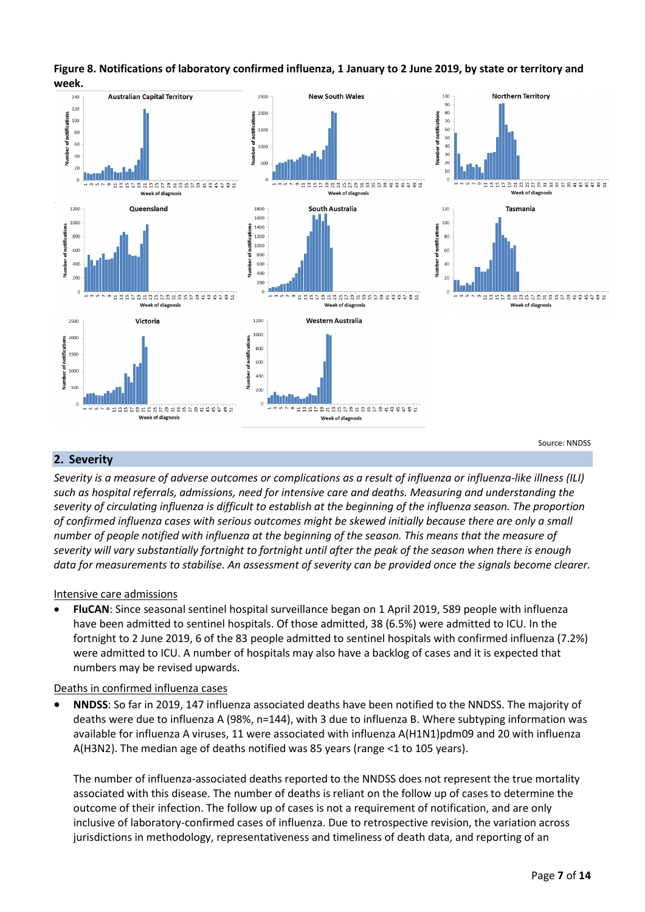

#### **Figure 8. Notifications of laboratory confirmed influenza, 1 January to 2 June 2019, by state or territory and week.**

#### **2. Severity**

*Severity is a measure of adverse outcomes or complications as a result of influenza or influenza-like illness (ILI) such as hospital referrals, admissions, need for intensive care and deaths. Measuring and understanding the severity of circulating influenza is difficult to establish at the beginning of the influenza season. The proportion of confirmed influenza cases with serious outcomes might be skewed initially because there are only a small number of people notified with influenza at the beginning of the season. This means that the measure of severity will vary substantially fortnight to fortnight until after the peak of the season when there is enough data for measurements to stabilise. An assessment of severity can be provided once the signals become clearer.* 

#### Intensive care admissions

• **FluCAN**: Since seasonal sentinel hospital surveillance began on 1 April 2019, 589 people with influenza have been admitted to sentinel hospitals. Of those admitted, 38 (6.5%) were admitted to ICU. In the fortnight to 2 June 2019, 6 of the 83 people admitted to sentinel hospitals with confirmed influenza (7.2%) were admitted to ICU. A number of hospitals may also have a backlog of cases and it is expected that numbers may be revised upwards.

#### Deaths in confirmed influenza cases

• **NNDSS**: So far in 2019, 147 influenza associated deaths have been notified to the NNDSS. The majority of deaths were due to influenza A (98%, n=144), with 3 due to influenza B. Where subtyping information was available for influenza A viruses, 11 were associated with influenza A(H1N1)pdm09 and 20 with influenza A(H3N2). The median age of deaths notified was 85 years (range <1 to 105 years).

The number of influenza-associated deaths reported to the NNDSS does not represent the true mortality associated with this disease. The number of deaths is reliant on the follow up of cases to determine the outcome of their infection. The follow up of cases is not a requirement of notification, and are only inclusive of laboratory-confirmed cases of influenza. Due to retrospective revision, the variation across jurisdictions in methodology, representativeness and timeliness of death data, and reporting of an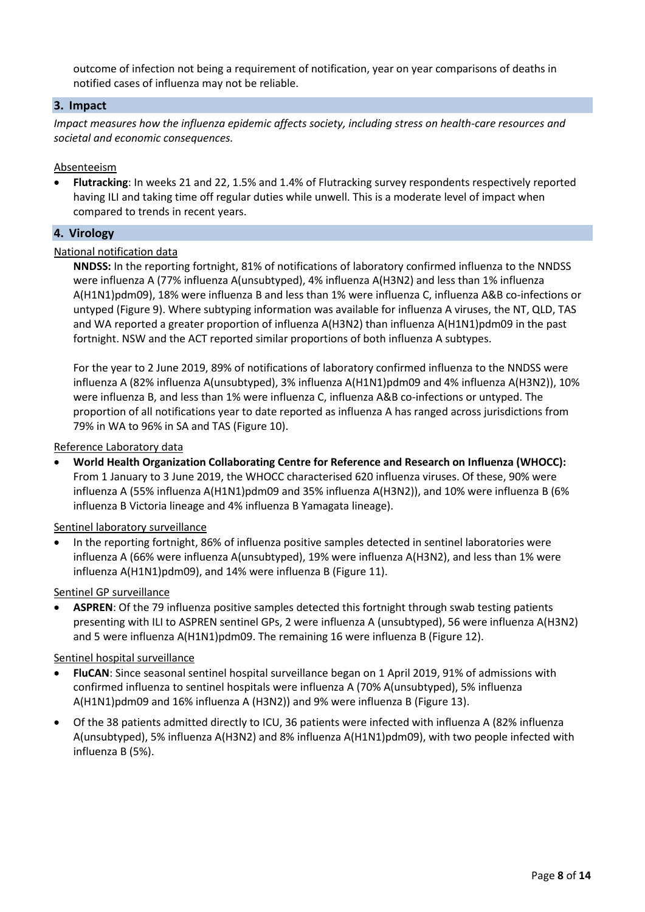outcome of infection not being a requirement of notification, year on year comparisons of deaths in notified cases of influenza may not be reliable.

#### **3. Impact**

*Impact measures how the influenza epidemic affects society, including stress on health-care resources and societal and economic consequences.*

#### Absenteeism

• **Flutracking**: In weeks 21 and 22, 1.5% and 1.4% of Flutracking survey respondents respectively reported having ILI and taking time off regular duties while unwell. This is a moderate level of impact when compared to trends in recent years.

#### **4. Virology**

#### National notification data

**NNDSS:** In the reporting fortnight, 81% of notifications of laboratory confirmed influenza to the NNDSS were influenza A (77% influenza A(unsubtyped), 4% influenza A(H3N2) and less than 1% influenza A(H1N1)pdm09), 18% were influenza B and less than 1% were influenza C, influenza A&B co-infections or untyped (Figure 9). Where subtyping information was available for influenza A viruses, the NT, QLD, TAS and WA reported a greater proportion of influenza A(H3N2) than influenza A(H1N1)pdm09 in the past fortnight. NSW and the ACT reported similar proportions of both influenza A subtypes.

For the year to 2 June 2019, 89% of notifications of laboratory confirmed influenza to the NNDSS were influenza A (82% influenza A(unsubtyped), 3% influenza A(H1N1)pdm09 and 4% influenza A(H3N2)), 10% were influenza B, and less than 1% were influenza C, influenza A&B co-infections or untyped. The proportion of all notifications year to date reported as influenza A has ranged across jurisdictions from 79% in WA to 96% in SA and TAS [\(Figure 10\)](#page-8-0).

#### Reference Laboratory data

• **World Health Organization Collaborating Centre for Reference and Research on Influenza (WHOCC):**  From 1 January to 3 June 2019, the WHOCC characterised 620 influenza viruses. Of these, 90% were influenza A (55% influenza A(H1N1)pdm09 and 35% influenza A(H3N2)), and 10% were influenza B (6% influenza B Victoria lineage and 4% influenza B Yamagata lineage).

#### Sentinel laboratory surveillance

• In the reporting fortnight, 86% of influenza positive samples detected in sentinel laboratories were influenza A (66% were influenza A(unsubtyped), 19% were influenza A(H3N2), and less than 1% were influenza A(H1N1)pdm09), and 14% were influenza B [\(Figure 11\)](#page-9-0).

Sentinel GP surveillance

• **ASPREN**: Of the 79 influenza positive samples detected this fortnight through swab testing patients presenting with ILI to ASPREN sentinel GPs, 2 were influenza A (unsubtyped), 56 were influenza A(H3N2) and 5 were influenza A(H1N1)pdm09. The remaining 16 were influenza B (Figure 12).

#### Sentinel hospital surveillance

- **FluCAN**: Since seasonal sentinel hospital surveillance began on 1 April 2019, 91% of admissions with confirmed influenza to sentinel hospitals were influenza A (70% A(unsubtyped), 5% influenza A(H1N1)pdm09 and 16% influenza A (H3N2)) and 9% were influenza B (Figure 13).
- Of the 38 patients admitted directly to ICU, 36 patients were infected with influenza A (82% influenza A(unsubtyped), 5% influenza A(H3N2) and 8% influenza A(H1N1)pdm09), with two people infected with influenza B (5%).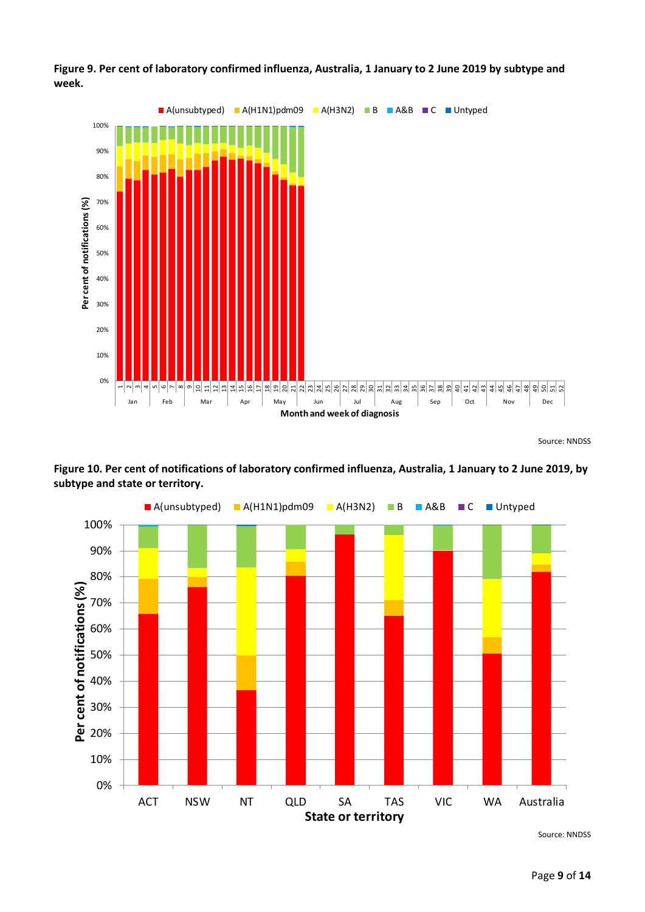

**Figure 9. Per cent of laboratory confirmed influenza, Australia, 1 January to 2 June 2019 by subtype and week.**

<span id="page-8-0"></span>**Figure 10. Per cent of notifications of laboratory confirmed influenza, Australia, 1 January to 2 June 2019, by subtype and state or territory.**



Source: NNDSS

Source: NNDSS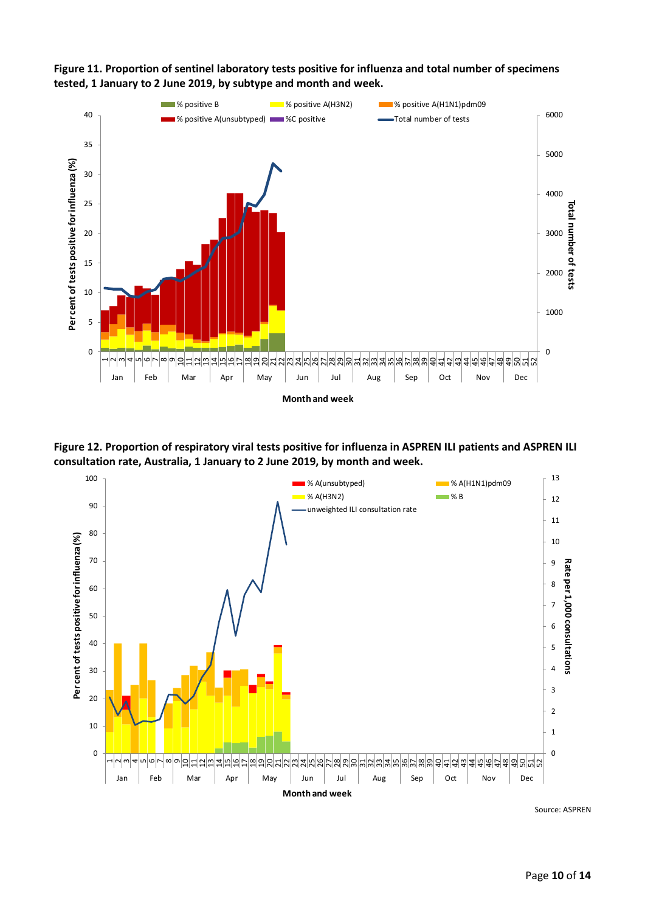

<span id="page-9-0"></span>**Figure 11. Proportion of sentinel laboratory tests positive for influenza and total number of specimens tested, 1 January to 2 June 2019, by subtype and month and week.**

**Figure 12. Proportion of respiratory viral tests positive for influenza in ASPREN ILI patients and ASPREN ILI consultation rate, Australia, 1 January to 2 June 2019, by month and week.**



Source: ASPREN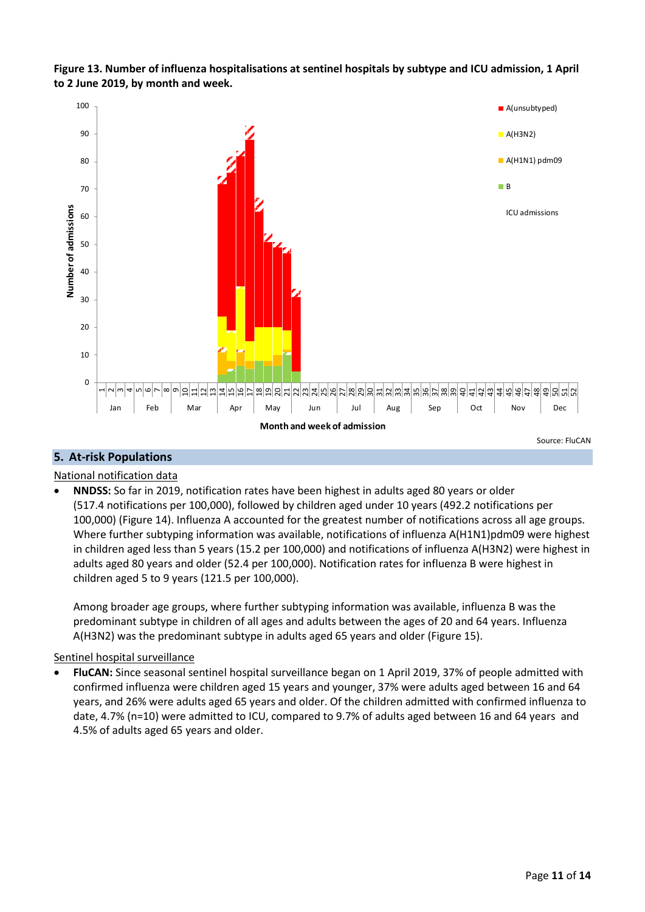**Figure 13. Number of influenza hospitalisations at sentinel hospitals by subtype and ICU admission, 1 April to 2 June 2019, by month and week.**



## **5. At-risk Populations**

#### National notification data

• **NNDSS:** So far in 2019, notification rates have been highest in adults aged 80 years or older (517.4 notifications per 100,000), followed by children aged under 10 years (492.2 notifications per 100,000) (Figure 14). Influenza A accounted for the greatest number of notifications across all age groups. Where further subtyping information was available, notifications of influenza A(H1N1)pdm09 were highest in children aged less than 5 years (15.2 per 100,000) and notifications of influenza A(H3N2) were highest in adults aged 80 years and older (52.4 per 100,000). Notification rates for influenza B were highest in children aged 5 to 9 years (121.5 per 100,000).

Among broader age groups, where further subtyping information was available, influenza B was the predominant subtype in children of all ages and adults between the ages of 20 and 64 years. Influenza A(H3N2) was the predominant subtype in adults aged 65 years and older [\(Figure 15\)](#page-12-0).

#### Sentinel hospital surveillance

• **FluCAN:** Since seasonal sentinel hospital surveillance began on 1 April 2019, 37% of people admitted with confirmed influenza were children aged 15 years and younger, 37% were adults aged between 16 and 64 years, and 26% were adults aged 65 years and older. Of the children admitted with confirmed influenza to date, 4.7% (n=10) were admitted to ICU, compared to 9.7% of adults aged between 16 and 64 years and 4.5% of adults aged 65 years and older.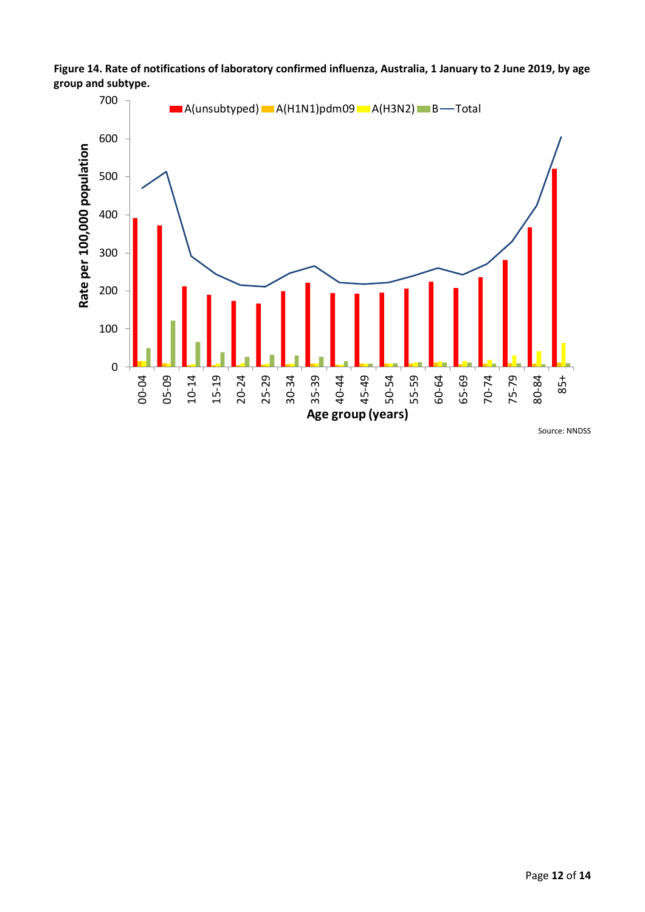



Source: NNDSS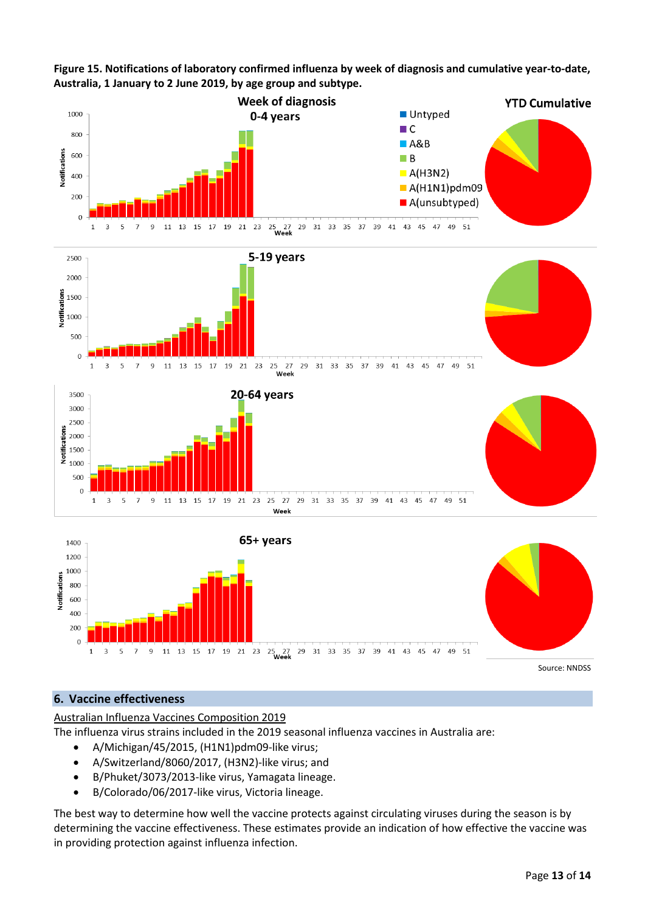<span id="page-12-0"></span>**Figure 15. Notifications of laboratory confirmed influenza by week of diagnosis and cumulative year-to-date, Australia, 1 January to 2 June 2019, by age group and subtype.**









Source: NNDSS

## **6. Vaccine effectiveness**

Australian Influenza Vaccines Composition 2019

The influenza virus strains included in the 2019 seasonal influenza vaccines in Australia are:

- A/Michigan/45/2015, (H1N1)pdm09-like virus;
- A/Switzerland/8060/2017, (H3N2)-like virus; and
- B/Phuket/3073/2013-like virus, Yamagata lineage.
- B/Colorado/06/2017-like virus, Victoria lineage.

The best way to determine how well the vaccine protects against circulating viruses during the season is by determining the vaccine effectiveness. These estimates provide an indication of how effective the vaccine was in providing protection against influenza infection.